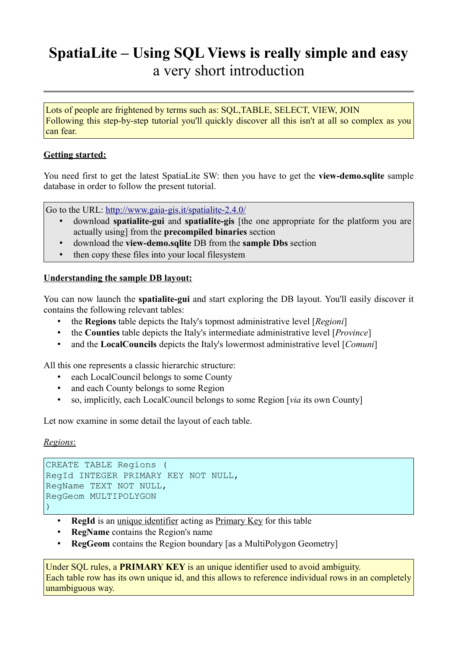# **SpatiaLite – Using SQL Views is really simple and easy** a very short introduction

Lots of people are frightened by terms such as: SQL,TABLE, SELECT, VIEW, JOIN Following this step-by-step tutorial you'll quickly discover all this isn't at all so complex as you can fear.

### **Getting started:**

You need first to get the latest SpatiaLite SW: then you have to get the **view-demo.sqlite** sample database in order to follow the present tutorial.

Go to the URL:<http://www.gaia-gis.it/spatialite-2.4.0/>

- download **spatialite-gui** and **spatialite-gis** [the one appropriate for the platform you are actually using] from the **precompiled binaries** section
- download the **view-demo.sqlite** DB from the **sample Dbs** section
- then copy these files into your local filesystem

#### **Understanding the sample DB layout:**

You can now launch the **spatialite-gui** and start exploring the DB layout. You'll easily discover it contains the following relevant tables:

- the **Regions** table depicts the Italy's topmost administrative level [*Regioni*]
- the **Counties** table depicts the Italy's intermediate administrative level [*Province*]
- and the **LocalCouncils** depicts the Italy's lowermost administrative level [*Comuni*]

All this one represents a classic hierarchic structure:

- each LocalCouncil belongs to some County
- and each County belongs to some Region
- so, implicitly, each LocalCouncil belongs to some Region [*via* its own County]

Let now examine in some detail the layout of each table.

#### *Regions* :

```
CREATE TABLE Regions (
RegId INTEGER PRIMARY KEY NOT NULL,
RegName TEXT NOT NULL, 
RegGeom MULTIPOLYGON
\big)
```
- **RegId** is an unique identifier acting as Primary Key for this table
- **RegName** contains the Region's name
- **RegGeom** contains the Region boundary [as a MultiPolygon Geometry]

Under SQL rules, a **PRIMARY KEY** is an unique identifier used to avoid ambiguity. Each table row has its own unique id, and this allows to reference individual rows in an completely unambiguous way.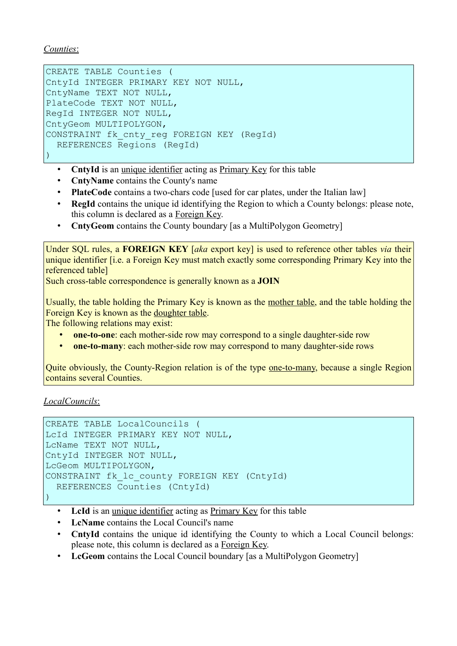*Counties* :

```
CREATE TABLE Counties (
CntyId INTEGER PRIMARY KEY NOT NULL,
CntyName TEXT NOT NULL,
PlateCode TEXT NOT NULL,
RegId INTEGER NOT NULL, 
CntyGeom MULTIPOLYGON,
CONSTRAINT fk cnty reg FOREIGN KEY (RegId)
   REFERENCES Regions (RegId)
```
)

- **CntyId** is an unique identifier acting as Primary Key for this table
- **CntyName** contains the County's name
- **PlateCode** contains a two-chars code [used for car plates, under the Italian law]
- **RegId** contains the unique id identifying the Region to which a County belongs: please note, this column is declared as a Foreign Key.
- **CntyGeom** contains the County boundary [as a MultiPolygon Geometry]

Under SQL rules, a **FOREIGN KEY** [*aka* export key] is used to reference other tables *via* their unique identifier [i.e. a Foreign Key must match exactly some corresponding Primary Key into the referenced table]

Such cross-table correspondence is generally known as a **JOIN**

Usually, the table holding the Primary Key is known as the mother table, and the table holding the Foreign Key is known as the doughter table.

The following relations may exist:

- **one-to-one**: each mother-side row may correspond to a single daughter-side row
- **one-to-many**: each mother-side row may correspond to many daughter-side rows

Quite obviously, the County-Region relation is of the type one-to-many, because a single Region contains several Counties.

 *LocalCouncils* :

```
CREATE TABLE LocalCouncils (
LcId INTEGER PRIMARY KEY NOT NULL,
LcName TEXT NOT NULL,
CntyId INTEGER NOT NULL, 
LcGeom MULTIPOLYGON,
CONSTRAINT fk_lc_county FOREIGN KEY (CntyId) 
  REFERENCES Counties (CntyId)
)
```
- LeId is an unique identifier acting as Primary Key for this table
- **LcName** contains the Local Council's name
- **CntyId** contains the unique id identifying the County to which a Local Council belongs: please note, this column is declared as a Foreign Key.
- LcGeom contains the Local Council boundary [as a MultiPolygon Geometry]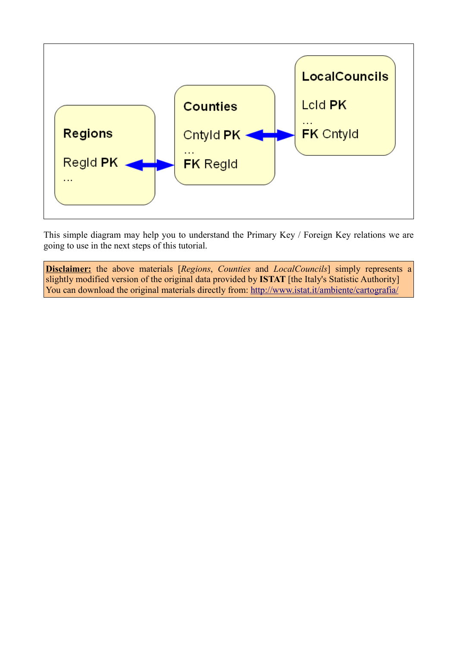

This simple diagram may help you to understand the Primary Key / Foreign Key relations we are going to use in the next steps of this tutorial.

**Disclaimer:** the above materials [*Regions*, *Counties* and *LocalCouncils*] simply represents a slightly modified version of the original data provided by **ISTAT** [the Italy's Statistic Authority] You can download the original materials directly from:<http://www.istat.it/ambiente/cartografia/>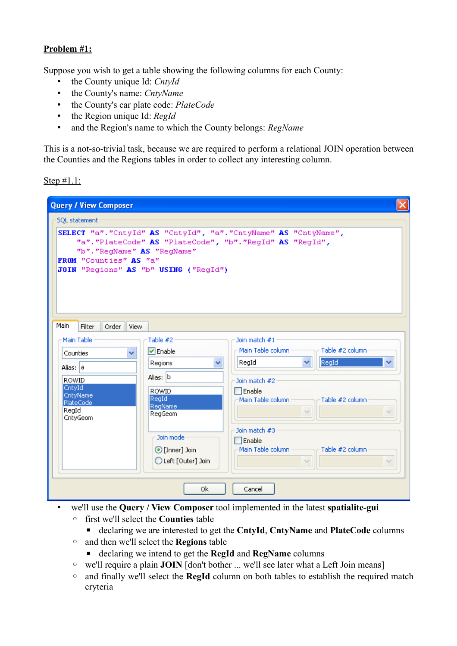# **Problem #1:**

Suppose you wish to get a table showing the following columns for each County:

- the County unique Id: *CntyId*
- the County's name: *CntyName*
- the County's car plate code: *PlateCode*
- the Region unique Id: *RegId*
- and the Region's name to which the County belongs: *RegName*

This is a not-so-trivial task, because we are required to perform a relational JOIN operation between the Counties and the Regions tables in order to collect any interesting column.

Step #1.1:

| <b>Query / View Composer</b>                                                                                                                                                                                                    |                     |                                                       |  |  |
|---------------------------------------------------------------------------------------------------------------------------------------------------------------------------------------------------------------------------------|---------------------|-------------------------------------------------------|--|--|
| <b>SQL statement</b>                                                                                                                                                                                                            |                     |                                                       |  |  |
| SELECT "a". "CntyId" AS "CntyId", "a". "CntyName" AS "CntyName",<br>"a". "PlateCode" AS "PlateCode", "b". "RegId" AS "RegId",<br>"b". "RegName" AS "RegName"<br>FROM "Counties" AS "a"<br>JOIN "Regions" AS "b" USING ("RegId") |                     |                                                       |  |  |
| Main<br>Filter<br>Order<br><b>View</b>                                                                                                                                                                                          |                     |                                                       |  |  |
| Main Table                                                                                                                                                                                                                      | Table #2            | Join match #1<br>Main Table column<br>Table #2 column |  |  |
| v<br>Counties                                                                                                                                                                                                                   | $\nabla$ Enable     | RegId<br>v                                            |  |  |
| Alias: a                                                                                                                                                                                                                        | Regions<br>v        | RegId<br>v                                            |  |  |
| <b>ROWID</b>                                                                                                                                                                                                                    | Alias: b            | Join match #2                                         |  |  |
| CntyId<br>CntyName                                                                                                                                                                                                              | <b>ROWID</b>        | $\Box$ Enable                                         |  |  |
| PlateCode                                                                                                                                                                                                                       | RegId<br>RegName    | Main Table column<br>Table #2 column                  |  |  |
| RegId<br>CntyGeom                                                                                                                                                                                                               | RegGeom             | $\mathcal{A}$                                         |  |  |
|                                                                                                                                                                                                                                 |                     | Join match #3                                         |  |  |
|                                                                                                                                                                                                                                 | Join mode           | $\Box$ Enable                                         |  |  |
|                                                                                                                                                                                                                                 | ⊙ [Inner] Join      | Main Table column<br>Table #2 column                  |  |  |
|                                                                                                                                                                                                                                 | C Left [Outer] Join | $\mathcal{A}$                                         |  |  |
|                                                                                                                                                                                                                                 |                     |                                                       |  |  |
| Cancel<br>0k                                                                                                                                                                                                                    |                     |                                                       |  |  |

- we'll use the **Query / View Composer** tool implemented in the latest **spatialite-gui**
	- first we'll select the **Counties** table

■ declaring we are interested to get the **CntyId**, **CntyName** and **PlateCode** columns

- and then we'll select the **Regions** table
	- declaring we intend to get the **RegId** and **RegName** columns
- we'll require a plain **JOIN** [don't bother ... we'll see later what a Left Join means]
- and finally we'll select the **RegId** column on both tables to establish the required match cryteria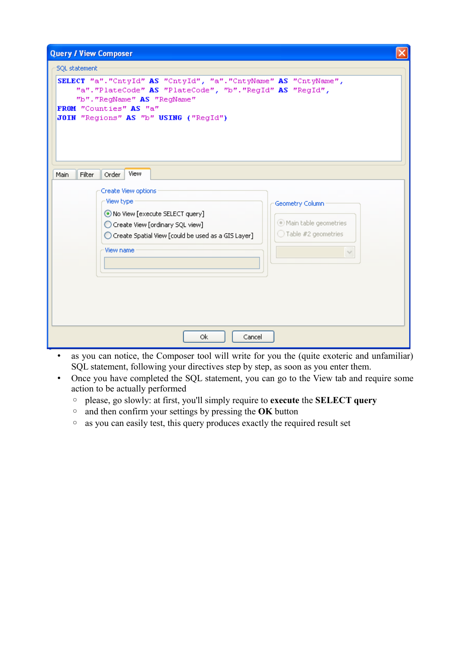| <b>Query / View Composer</b>                                                                                                                                                                                                                                                                  |  |  |
|-----------------------------------------------------------------------------------------------------------------------------------------------------------------------------------------------------------------------------------------------------------------------------------------------|--|--|
| <b>SQL</b> statement<br>SELECT "a". "CntyId" AS "CntyId", "a". "CntyName" AS "CntyName",<br>"a". "PlateCode" AS "PlateCode", "b". "RegId" AS "RegId",<br>"b". "RegName" AS "RegName"<br>FROM "Counties" AS "a"<br>JOIN "Regions" AS "b" USING ("RegId")                                       |  |  |
| View<br>Main<br>Filter<br>Order<br>Create View options<br>View type<br>Geometry Column<br>⊙ No View [execute SELECT query]<br>Main table geometries<br>Create View [ordinary SQL view]<br>$\bigcirc$ Table #2 geometries<br>◯ Create Spatial View [could be used as a GIS Layer]<br>View name |  |  |
| 0k<br>Cancel                                                                                                                                                                                                                                                                                  |  |  |

- as you can notice, the Composer tool will write for you the (quite exoteric and unfamiliar) SQL statement, following your directives step by step, as soon as you enter them.
- Once you have completed the SQL statement, you can go to the View tab and require some action to be actually performed
	- please, go slowly: at first, you'll simply require to **execute** the **SELECT query**
	- and then confirm your settings by pressing the **OK** button
	- as you can easily test, this query produces exactly the required result set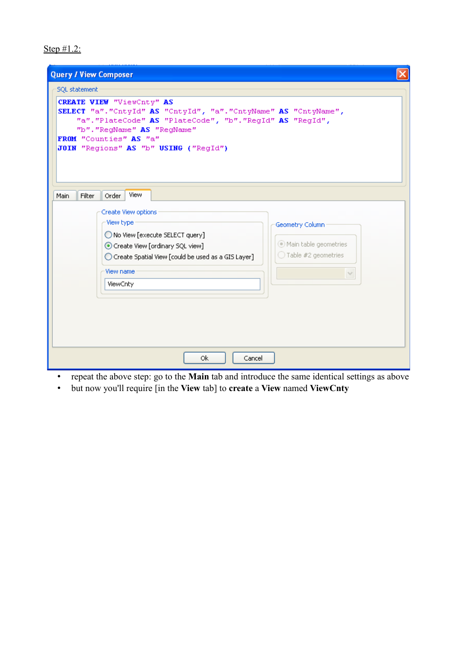Step #1.2:

| <b>Query / View Composer</b>                                                                                                                                                                                                                                                                                               |
|----------------------------------------------------------------------------------------------------------------------------------------------------------------------------------------------------------------------------------------------------------------------------------------------------------------------------|
| <b>SQL statement</b><br><b>CREATE VIEW "ViewCnty" AS</b><br>SELECT "a". "CntyId" AS "CntyId", "a". "CntyName" AS "CntyName",<br>"a". "PlateCode" AS "PlateCode", "b". "RegId" AS "RegId",<br>"b". "RegName" AS "RegName"<br>FROM "Counties" AS "a"<br>JOIN "Regions" AS "b" USING ("RegId")                                |
| <b>View</b><br>Filter<br>Order<br>Main<br>Create View options<br>View type<br>Geometry Column<br>◯ No View [execute SELECT query]<br>Main table geometries<br>Create View [ordinary SQL view]<br>$\bigcirc$ Table #2 geometries<br>C Create Spatial View [could be used as a GIS Layer]<br>View name<br>$\sim$<br>ViewCnty |
| 0k<br>Cancel                                                                                                                                                                                                                                                                                                               |

- repeat the above step: go to the **Main** tab and introduce the same identical settings as above
- but now you'll require [in the **View** tab] to **create** a **View** named **ViewCnty**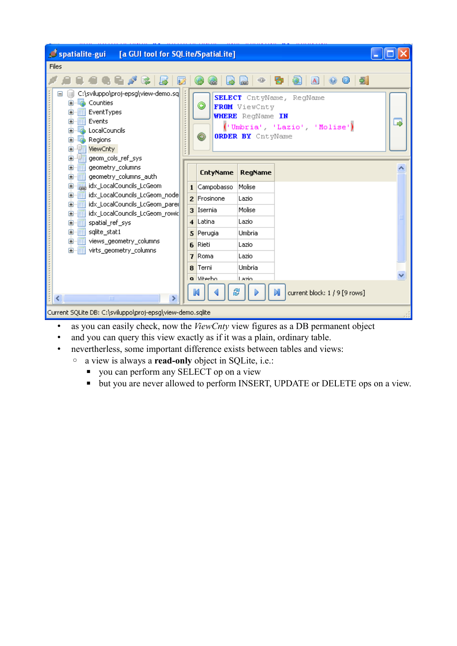| spatialite-gui<br>[a GUI tool for SQLite/SpatiaLite]                                                                                                                                                                                                                                                               |   |  |  |  |
|--------------------------------------------------------------------------------------------------------------------------------------------------------------------------------------------------------------------------------------------------------------------------------------------------------------------|---|--|--|--|
| Files                                                                                                                                                                                                                                                                                                              |   |  |  |  |
| - 24<br>$^{\circ}$<br>O<br>$\mathbf{A}$<br>⊕<br>囹                                                                                                                                                                                                                                                                  |   |  |  |  |
| C:\sviluppo\proj-epsg\view-demo.sq<br>SELECT CntyName, RegName<br>Counties<br>O<br>FROM ViewCnty<br>EventTypes<br>畐<br>⊞<br><b>WHERE</b> RegName IN<br>Events<br>扉<br>Ð<br>('Umbria', 'Lazio', 'Molise')<br><b>tocalCouncils</b><br>国<br><b>ORDER BY</b> CntyName<br>0<br>Б.<br>Ė<br>Regions<br>崛<br>ViewCnty<br>Ė | ⋑ |  |  |  |
| geom_cols_ref_sys<br>Ò<br>顧<br>geometry_columns<br>ė.<br><b>CntyName</b><br>RegName<br>geometry_columns_auth<br>偏<br>$\boxdot$                                                                                                                                                                                     |   |  |  |  |
| dx_LocalCouncils_LcGeom<br>Ė<br>1 Campobasso<br>Molise<br>idx_LocalCouncils_LcGeom_node<br>Ō<br>·匾<br>2 Frosinone<br>Lazio                                                                                                                                                                                         |   |  |  |  |
| 由 Times idx_LocalCouncils_LcGeom_pare<br>Molise<br>3 Isernia<br>idx_LocalCouncils_LcGeom_rowic<br>慵<br>Ė                                                                                                                                                                                                           |   |  |  |  |
| 4 Latina<br>Lazio<br>偏<br>spatial_ref_sys<br>o.                                                                                                                                                                                                                                                                    |   |  |  |  |
| sqlite_stat1<br>-匾<br>o.<br>Umbria<br>5 Perugia                                                                                                                                                                                                                                                                    |   |  |  |  |
| 由 -- Fig. views_geometry_columns<br>6 Rieti<br>Lazio<br>virts_geometry_columns<br>由…   再                                                                                                                                                                                                                           |   |  |  |  |
| 7 Roma<br>Lazio                                                                                                                                                                                                                                                                                                    |   |  |  |  |
| Umbria<br>8 Terni                                                                                                                                                                                                                                                                                                  |   |  |  |  |
| a Witerbo<br>Lazio                                                                                                                                                                                                                                                                                                 |   |  |  |  |
| 8<br>current block: 1 / 9 [9 rows]<br><b>TITL</b>                                                                                                                                                                                                                                                                  |   |  |  |  |
| Current SQLite DB: C:\sviluppo\proj-epsg\view-demo.sqlite                                                                                                                                                                                                                                                          |   |  |  |  |

- as you can easily check, now the *ViewCnty* view figures as a DB permanent object
- and you can query this view exactly as if it was a plain, ordinary table.
- nevertherless, some important difference exists between tables and views:
	- a view is always a **read-only** object in SQLite, i.e.:
		- you can perform any SELECT op on a view
		- but you are never allowed to perform INSERT, UPDATE or DELETE ops on a view.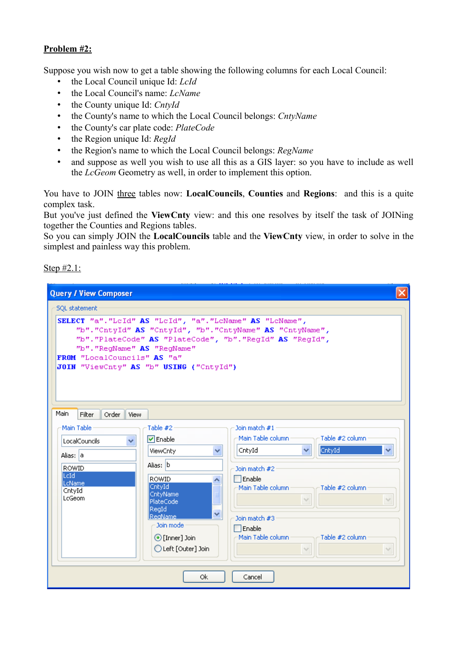## **Problem #2:**

Suppose you wish now to get a table showing the following columns for each Local Council:

- the Local Council unique Id: *LcId*
- the Local Council's name: *LcName*
- the County unique Id: *CntyId*
- the County's name to which the Local Council belongs: *CntyName*
- the County's car plate code: *PlateCode*
- the Region unique Id: *RegId*
- the Region's name to which the Local Council belongs: *RegName*
- and suppose as well you wish to use all this as a GIS layer: so you have to include as well the *LcGeom* Geometry as well, in order to implement this option.

You have to JOIN three tables now: **LocalCouncils**, **Counties** and **Regions**: and this is a quite complex task.

But you've just defined the **ViewCnty** view: and this one resolves by itself the task of JOINing together the Counties and Regions tables.

So you can simply JOIN the **LocalCouncils** table and the **ViewCnty** view, in order to solve in the simplest and painless way this problem.

Step #2.1:

| <b>Query / View Composer</b>                                                                                                                                                                                                                                                                |  |  |  |  |
|---------------------------------------------------------------------------------------------------------------------------------------------------------------------------------------------------------------------------------------------------------------------------------------------|--|--|--|--|
| <b>SQL statement</b>                                                                                                                                                                                                                                                                        |  |  |  |  |
| SELECT "a". "LeId" AS "LeId", "a". "LeName" AS "LeName",<br>"b". "CntyId" AS "CntyId", "b". "CntyName" AS "CntyName",<br>"b". "PlateCode" AS "PlateCode", "b". "RegId" AS "RegId",<br>"b". "RegName" AS "RegName"<br>FROM "LocalCouncils" AS "a"<br>JOIN "ViewCnty" AS "b" USING ("CntyId") |  |  |  |  |
| Main<br>Filter<br>Order<br>View                                                                                                                                                                                                                                                             |  |  |  |  |
| Main Table<br>Table #2<br>Join match #1                                                                                                                                                                                                                                                     |  |  |  |  |
| Main Table column :<br>Table #2 column<br>$\triangledown$ Enable<br>v<br>LocalCouncils                                                                                                                                                                                                      |  |  |  |  |
| CntyId<br>CntyId<br>ViewCnty<br>v.<br>٧<br>Alias: a                                                                                                                                                                                                                                         |  |  |  |  |
| Alias: b<br>ROWID<br>Join match #2                                                                                                                                                                                                                                                          |  |  |  |  |
| lLcId.<br>$\Box$ Enable<br><b>ROWID</b><br><b>ILcName</b><br>CntyId                                                                                                                                                                                                                         |  |  |  |  |
| Main Table column:<br>Table #2 column<br>CntyId<br>CntyName<br>≣<br>LcGeom                                                                                                                                                                                                                  |  |  |  |  |
| $\sim$<br>PlateCode<br>RegId                                                                                                                                                                                                                                                                |  |  |  |  |
| Ÿ<br><b>ReaName</b><br>Join match #3                                                                                                                                                                                                                                                        |  |  |  |  |
| Join mode<br>$\Box$ Enable                                                                                                                                                                                                                                                                  |  |  |  |  |
| Main Table column:<br>Table #2 column<br>⊙ [Inner] Join                                                                                                                                                                                                                                     |  |  |  |  |
| ◯ Left [Outer] Join                                                                                                                                                                                                                                                                         |  |  |  |  |
| 0k<br>Cancel                                                                                                                                                                                                                                                                                |  |  |  |  |
|                                                                                                                                                                                                                                                                                             |  |  |  |  |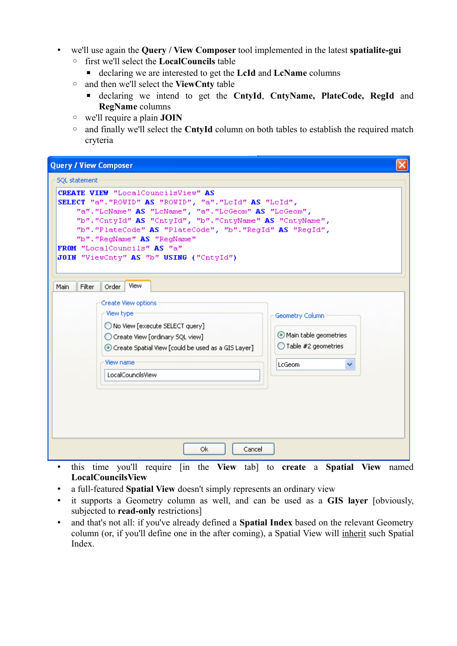- we'll use again the **Query / View Composer** tool implemented in the latest **spatialite-gui**
	- first we'll select the **LocalCouncils** table
		- declaring we are interested to get the **LcId** and **LcName** columns
	- and then we'll select the **ViewCnty** table
		- declaring we intend to get the **CntyId**, **CntyName, PlateCode, RegId** and **RegName** columns
	- we'll require a plain **JOIN**
	- and finally we'll select the **CntyId** column on both tables to establish the required match cryteria

 $\mathbf{x}$ 

## **Query / View Composer**

| <b>SQL</b> statement                                                                                                                                                                                                                                                                                                                                                                            |                                                                                           |  |  |
|-------------------------------------------------------------------------------------------------------------------------------------------------------------------------------------------------------------------------------------------------------------------------------------------------------------------------------------------------------------------------------------------------|-------------------------------------------------------------------------------------------|--|--|
| <b>CREATE VIEW</b> "LocalCouncilsView" AS<br>SELECT "a". "ROWID" AS "ROWID", "a". "LeId" AS "LeId",<br>"a". "LoName" AS "LoName", "a". "LoGeom" AS "LoGeom",<br>"b". "CntyId" AS "CntyId", "b". "CntyName" AS "CntyName",<br>"b". "PlateCode" AS "PlateCode", "b". "RegId" AS "RegId",<br>"b". "RegName" AS "RegName"<br>FROM "LocalCouncils" AS "a"<br>JOIN "ViewCnty" AS "b" USING ("CntyId") |                                                                                           |  |  |
| View<br>Main<br>Filter<br>Order<br>Create View options<br>View type<br>No View [execute SELECT query]<br>Create View [ordinary SQL view]<br>⊙ Create Spatial View [could be used as a GIS Layer]<br>View name<br>LocalCouncilsView                                                                                                                                                              | Geometry Column<br>Main table geometries<br>$\bigcirc$ Table #2 geometries<br>LcGeom<br>٧ |  |  |
| 0k<br>Cancel<br>(1)                                                                                                                                                                                                                                                                                                                                                                             |                                                                                           |  |  |

- this time you'll require [in the **View** tab] to **create** a **Spatial View** named **LocalCouncilsView**
- a full-featured **Spatial View** doesn't simply represents an ordinary view
- it supports a Geometry column as well, and can be used as a **GIS layer** [obviously, subjected to **read-only** restrictions]
- and that's not all: if you've already defined a **Spatial Index** based on the relevant Geometry column (or, if you'll define one in the after coming), a Spatial View will inherit such Spatial Index.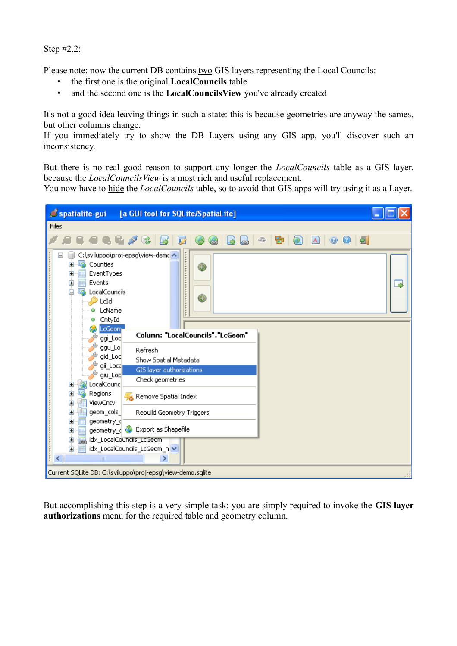#### Step #2.2:

Please note: now the current DB contains two GIS layers representing the Local Councils:

- the first one is the original **LocalCouncils** table
- and the second one is the **LocalCouncilsView** you've already created

It's not a good idea leaving things in such a state: this is because geometries are anyway the sames, but other columns change.

If you immediately try to show the DB Layers using any GIS app, you'll discover such an inconsistency.

But there is no real good reason to support any longer the *LocalCouncils* table as a GIS layer, because the *LocalCouncilsView* is a most rich and useful replacement.

You now have to hide the *LocalCouncils* table, so to avoid that GIS apps will try using it as a Layer.



But accomplishing this step is a very simple task: you are simply required to invoke the **GIS layer authorizations** menu for the required table and geometry column.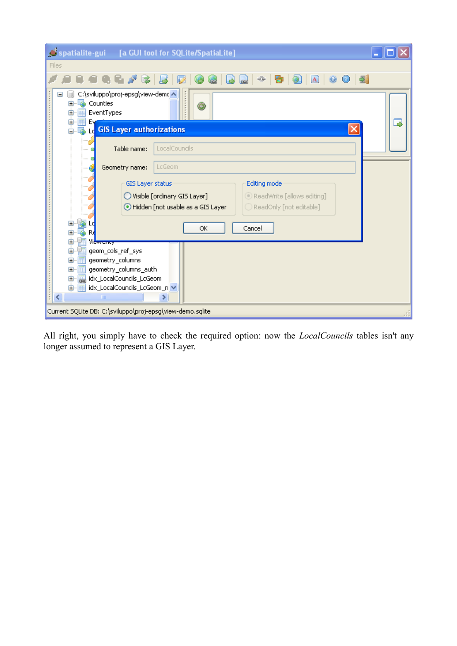| spatialite-gui [a GUI tool for SQLite/SpatiaLite]                                                  |  |  |  |  |
|----------------------------------------------------------------------------------------------------|--|--|--|--|
| Files                                                                                              |  |  |  |  |
| $\bigcirc$ a $\circ$ $\circ$<br>- 21<br>⊕<br>昏<br>宝<br>67.<br>10<br>d.<br>$\circ$                  |  |  |  |  |
| C:\sviluppo\proj-epsg\view-demc A<br>Counties<br>$\mathbf \Xi$<br>٥<br>EventTypes<br>$\mathbf \Xi$ |  |  |  |  |
| Œ<br>E۷<br>B<br>Le GIS Layer authorizations<br>Ė.<br>鸁                                             |  |  |  |  |
| LocalCouncils<br>Table name:                                                                       |  |  |  |  |
| LcGeom<br>Geometry name:                                                                           |  |  |  |  |
| Editing mode<br><b>GIS Layer status</b>                                                            |  |  |  |  |
| ◯ Visible [ordinary GIS Layer]<br>ReadWrite [allows editing]                                       |  |  |  |  |
| Hidden [not usable as a GIS Layer<br>$\bigcirc$ ReadOnly [not editable]                            |  |  |  |  |
| Cancel<br>ОК                                                                                       |  |  |  |  |
| 由<br>œ<br>Vi <del>ewency</del>                                                                     |  |  |  |  |
| geom_cols_ref_sys<br>Ė                                                                             |  |  |  |  |
| geometry_columns<br>⊞                                                                              |  |  |  |  |
| geometry_columns_auth<br>⊞<br>idx_LocalCouncils_LcGeom<br>⊡                                        |  |  |  |  |
| idx_LocalCouncils_LcGeom_n v<br>由                                                                  |  |  |  |  |
| ∢<br><b>TITL</b>                                                                                   |  |  |  |  |
| Current SQLite DB: C:\sviluppo\proj-epsg\view-demo.sqlite                                          |  |  |  |  |

All right, you simply have to check the required option: now the *LocalCouncils* tables isn't any longer assumed to represent a GIS Layer.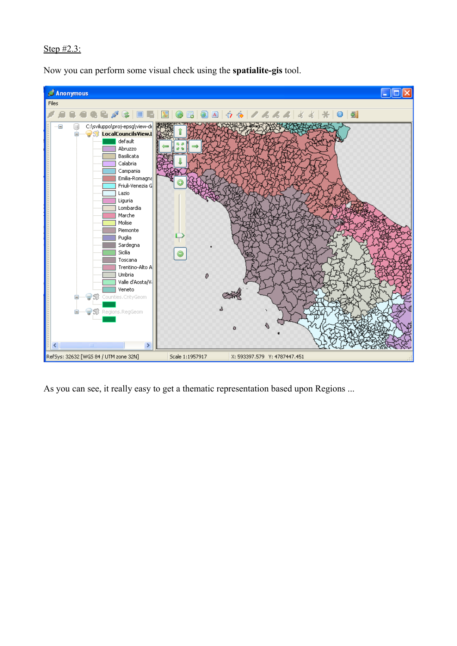# Step #2.3:

Now you can perform some visual check using the **spatialite-gis** tool.



As you can see, it really easy to get a thematic representation based upon Regions ...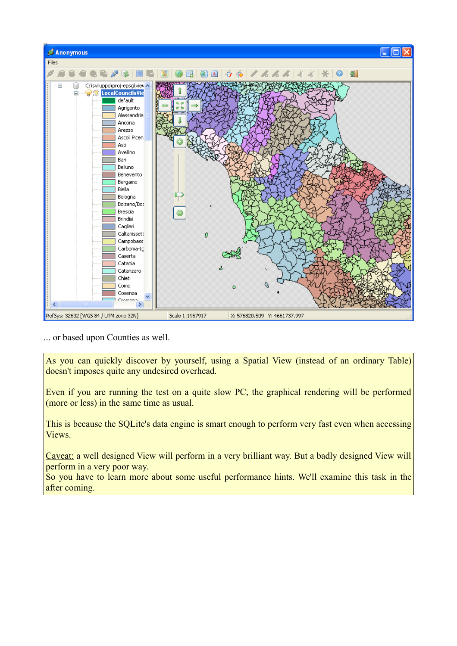

... or based upon Counties as well.

As you can quickly discover by yourself, using a Spatial View (instead of an ordinary Table) doesn't imposes quite any undesired overhead.

Even if you are running the test on a quite slow PC, the graphical rendering will be performed (more or less) in the same time as usual.

This is because the SQLite's data engine is smart enough to perform very fast even when accessing Views.

Caveat: a well designed View will perform in a very brilliant way. But a badly designed View will perform in a very poor way.

So you have to learn more about some useful performance hints. We'll examine this task in the after coming.